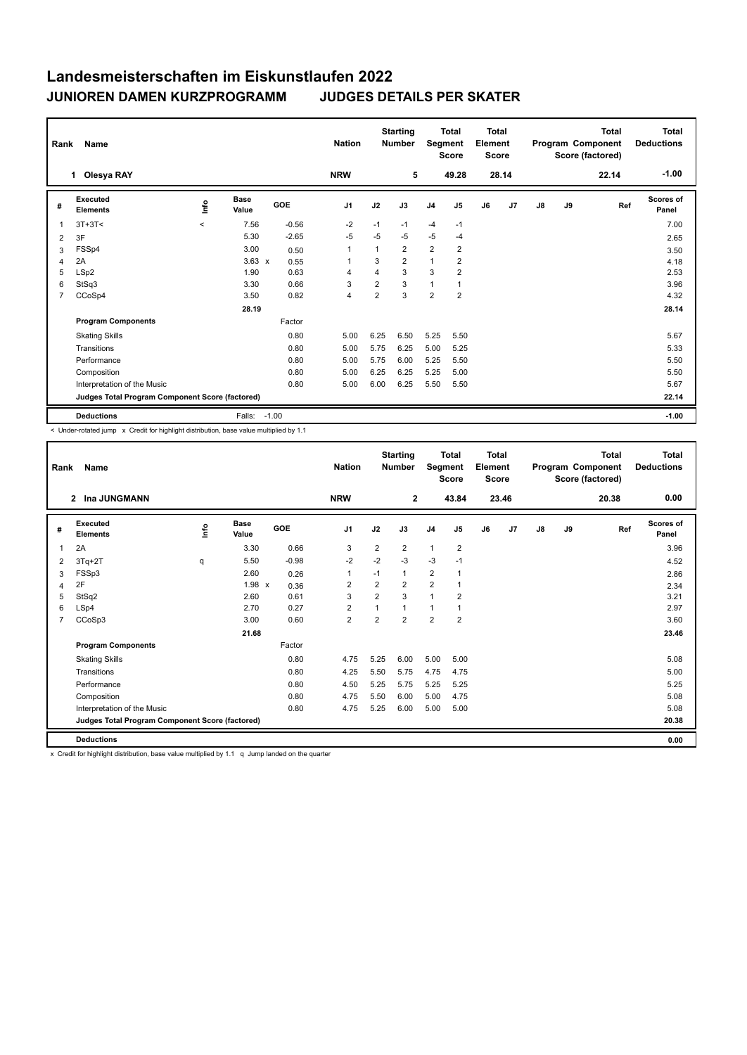|                | <b>Name</b><br>Rank<br>Olesya RAY<br>1.         |         |                      |            | <b>Nation</b><br><b>NRW</b> |                | <b>Starting</b><br><b>Number</b><br>5 | Segment        | <b>Total</b><br><b>Score</b><br>49.28 | <b>Total</b><br>Element<br><b>Score</b><br>28.14 |                | Program Component |    | <b>Total</b><br>Score (factored)<br>22.14 | <b>Total</b><br><b>Deductions</b><br>$-1.00$ |
|----------------|-------------------------------------------------|---------|----------------------|------------|-----------------------------|----------------|---------------------------------------|----------------|---------------------------------------|--------------------------------------------------|----------------|-------------------|----|-------------------------------------------|----------------------------------------------|
|                |                                                 |         |                      |            |                             |                |                                       |                |                                       |                                                  |                |                   |    |                                           |                                              |
| #              | Executed<br><b>Elements</b>                     | lnfo    | <b>Base</b><br>Value | <b>GOE</b> | J <sub>1</sub>              | J2             | J3                                    | J <sub>4</sub> | J <sub>5</sub>                        | J6                                               | J <sub>7</sub> | J8                | J9 | Ref                                       | Scores of<br>Panel                           |
| $\overline{1}$ | $3T+3T<$                                        | $\prec$ | 7.56                 | $-0.56$    | $-2$                        | $-1$           | $-1$                                  | $-4$           | $-1$                                  |                                                  |                |                   |    |                                           | 7.00                                         |
| 2              | 3F                                              |         | 5.30                 | $-2.65$    | $-5$                        | $-5$           | $-5$                                  | $-5$           | $-4$                                  |                                                  |                |                   |    |                                           | 2.65                                         |
| 3              | FSSp4                                           |         | 3.00                 | 0.50       | $\overline{1}$              | 1              | $\overline{2}$                        | $\overline{2}$ | 2                                     |                                                  |                |                   |    |                                           | 3.50                                         |
| 4              | 2A                                              |         | $3.63 \times$        | 0.55       | $\overline{1}$              | 3              | $\overline{2}$                        | $\mathbf{1}$   | $\overline{2}$                        |                                                  |                |                   |    |                                           | 4.18                                         |
| 5              | LSp2                                            |         | 1.90                 | 0.63       | $\overline{4}$              | $\overline{4}$ | 3                                     | 3              | $\overline{2}$                        |                                                  |                |                   |    |                                           | 2.53                                         |
| 6              | StSq3                                           |         | 3.30                 | 0.66       | 3                           | $\overline{2}$ | 3                                     | $\mathbf{1}$   | $\mathbf{1}$                          |                                                  |                |                   |    |                                           | 3.96                                         |
| 7              | CCoSp4                                          |         | 3.50                 | 0.82       | $\overline{4}$              | $\overline{2}$ | 3                                     | $\overline{2}$ | $\overline{2}$                        |                                                  |                |                   |    |                                           | 4.32                                         |
|                |                                                 |         | 28.19                |            |                             |                |                                       |                |                                       |                                                  |                |                   |    |                                           | 28.14                                        |
|                | <b>Program Components</b>                       |         |                      | Factor     |                             |                |                                       |                |                                       |                                                  |                |                   |    |                                           |                                              |
|                | <b>Skating Skills</b>                           |         |                      | 0.80       | 5.00                        | 6.25           | 6.50                                  | 5.25           | 5.50                                  |                                                  |                |                   |    |                                           | 5.67                                         |
|                | Transitions                                     |         |                      | 0.80       | 5.00                        | 5.75           | 6.25                                  | 5.00           | 5.25                                  |                                                  |                |                   |    |                                           | 5.33                                         |
|                | Performance                                     |         |                      | 0.80       | 5.00                        | 5.75           | 6.00                                  | 5.25           | 5.50                                  |                                                  |                |                   |    |                                           | 5.50                                         |
|                | Composition                                     |         |                      | 0.80       | 5.00                        | 6.25           | 6.25                                  | 5.25           | 5.00                                  |                                                  |                |                   |    |                                           | 5.50                                         |
|                | Interpretation of the Music                     |         |                      | 0.80       | 5.00                        | 6.00           | 6.25                                  | 5.50           | 5.50                                  |                                                  |                |                   |    |                                           | 5.67                                         |
|                | Judges Total Program Component Score (factored) |         |                      |            |                             |                |                                       |                |                                       |                                                  |                |                   |    |                                           | 22.14                                        |
|                | <b>Deductions</b>                               |         | Falls:               | $-1.00$    |                             |                |                                       |                |                                       |                                                  |                |                   |    |                                           | $-1.00$                                      |

< Under-rotated jump x Credit for highlight distribution, base value multiplied by 1.1

| Rank           | <b>Name</b>                                     |             |                      |         | <b>Nation</b>  |                | <b>Starting</b><br><b>Number</b> | <b>Total</b><br>Segment<br><b>Score</b> |                | Total<br>Element<br><b>Score</b> |       | <b>Total</b><br>Program Component<br>Score (factored) |    | <b>Total</b><br><b>Deductions</b> |                           |
|----------------|-------------------------------------------------|-------------|----------------------|---------|----------------|----------------|----------------------------------|-----------------------------------------|----------------|----------------------------------|-------|-------------------------------------------------------|----|-----------------------------------|---------------------------|
|                | Ina JUNGMANN<br>$\overline{2}$                  |             |                      |         | <b>NRW</b>     |                | $\mathbf{2}$                     |                                         | 43.84          |                                  | 23.46 |                                                       |    | 20.38                             | 0.00                      |
| #              | Executed<br><b>Elements</b>                     | <u>info</u> | <b>Base</b><br>Value | GOE     | J <sub>1</sub> | J2             | J3                               | J <sub>4</sub>                          | J5             | J6                               | J7    | $\mathsf{J}8$                                         | J9 | Ref                               | <b>Scores of</b><br>Panel |
| 1              | 2A                                              |             | 3.30                 | 0.66    | 3              | $\overline{2}$ | $\overline{2}$                   | $\mathbf{1}$                            | $\overline{2}$ |                                  |       |                                                       |    |                                   | 3.96                      |
| 2              | $3Tq+2T$                                        | q           | 5.50                 | $-0.98$ | $-2$           | $-2$           | $-3$                             | -3                                      | $-1$           |                                  |       |                                                       |    |                                   | 4.52                      |
| 3              | FSSp3                                           |             | 2.60                 | 0.26    | $\mathbf{1}$   | $-1$           | 1                                | $\overline{2}$                          | 1              |                                  |       |                                                       |    |                                   | 2.86                      |
| 4              | 2F                                              |             | $1.98 \times$        | 0.36    | $\overline{2}$ | 2              | 2                                | $\overline{2}$                          |                |                                  |       |                                                       |    |                                   | 2.34                      |
| 5              | StSq2                                           |             | 2.60                 | 0.61    | 3              | $\overline{2}$ | 3                                | $\mathbf{1}$                            | $\overline{2}$ |                                  |       |                                                       |    |                                   | 3.21                      |
| 6              | LSp4                                            |             | 2.70                 | 0.27    | $\overline{2}$ | 1              | 1                                | $\overline{1}$                          |                |                                  |       |                                                       |    |                                   | 2.97                      |
| $\overline{7}$ | CCoSp3                                          |             | 3.00                 | 0.60    | $\overline{2}$ | 2              | $\overline{2}$                   | $\overline{2}$                          | $\overline{2}$ |                                  |       |                                                       |    |                                   | 3.60                      |
|                |                                                 |             | 21.68                |         |                |                |                                  |                                         |                |                                  |       |                                                       |    |                                   | 23.46                     |
|                | <b>Program Components</b>                       |             |                      | Factor  |                |                |                                  |                                         |                |                                  |       |                                                       |    |                                   |                           |
|                | <b>Skating Skills</b>                           |             |                      | 0.80    | 4.75           | 5.25           | 6.00                             | 5.00                                    | 5.00           |                                  |       |                                                       |    |                                   | 5.08                      |
|                | Transitions                                     |             |                      | 0.80    | 4.25           | 5.50           | 5.75                             | 4.75                                    | 4.75           |                                  |       |                                                       |    |                                   | 5.00                      |
|                | Performance                                     |             |                      | 0.80    | 4.50           | 5.25           | 5.75                             | 5.25                                    | 5.25           |                                  |       |                                                       |    |                                   | 5.25                      |
|                | Composition                                     |             |                      | 0.80    | 4.75           | 5.50           | 6.00                             | 5.00                                    | 4.75           |                                  |       |                                                       |    |                                   | 5.08                      |
|                | Interpretation of the Music                     |             |                      | 0.80    | 4.75           | 5.25           | 6.00                             | 5.00                                    | 5.00           |                                  |       |                                                       |    |                                   | 5.08                      |
|                | Judges Total Program Component Score (factored) |             |                      |         |                |                |                                  |                                         |                |                                  |       |                                                       |    |                                   | 20.38                     |
|                | <b>Deductions</b>                               |             |                      |         |                |                |                                  |                                         |                |                                  |       |                                                       |    |                                   | 0.00                      |

x Credit for highlight distribution, base value multiplied by 1.1 q Jump landed on the quarter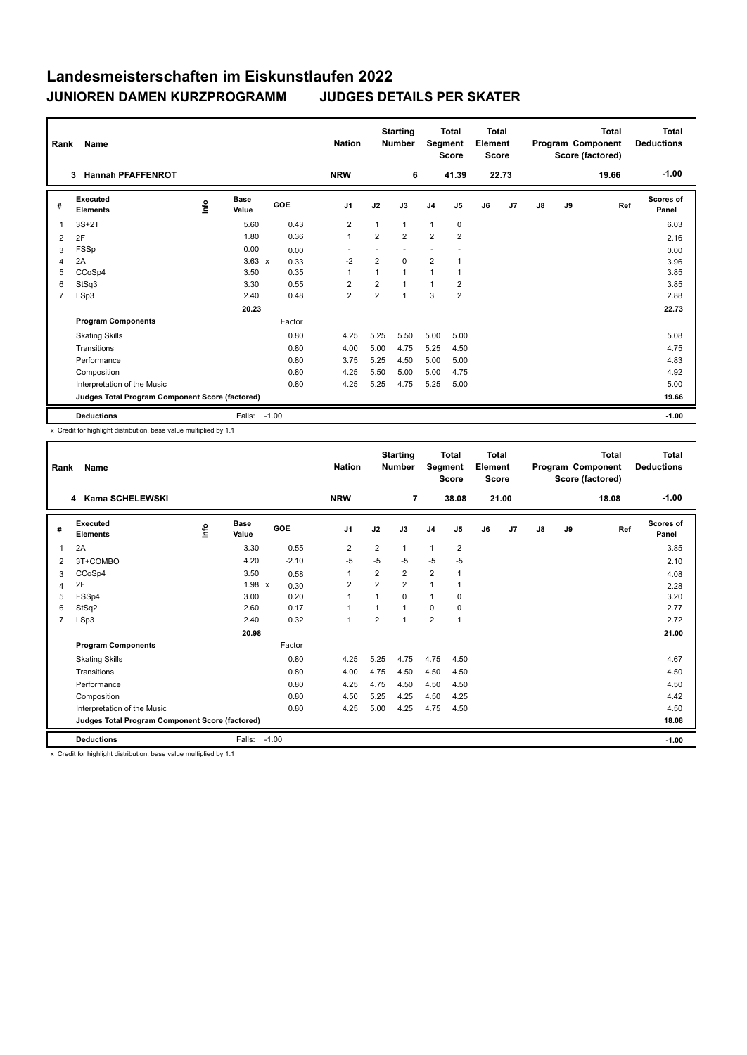|                | Name<br>Rank                                    |      |                      |            | <b>Nation</b>  |                | <b>Starting</b><br><b>Number</b> | <b>Total</b><br>Segment<br><b>Score</b> |                | <b>Total</b><br>Element<br>Score |                | Program Component |    | <b>Total</b><br>Score (factored) | Total<br><b>Deductions</b> |
|----------------|-------------------------------------------------|------|----------------------|------------|----------------|----------------|----------------------------------|-----------------------------------------|----------------|----------------------------------|----------------|-------------------|----|----------------------------------|----------------------------|
|                | <b>Hannah PFAFFENROT</b><br>3                   |      |                      |            | <b>NRW</b>     |                | 6                                |                                         | 41.39          |                                  | 22.73          |                   |    | 19.66                            | $-1.00$                    |
| #              | Executed<br><b>Elements</b>                     | ١nf٥ | <b>Base</b><br>Value | <b>GOE</b> | J <sub>1</sub> | J2             | J3                               | J <sub>4</sub>                          | J <sub>5</sub> | J6                               | J <sub>7</sub> | $\mathsf{J}8$     | J9 | Ref                              | <b>Scores of</b><br>Panel  |
| $\overline{1}$ | $3S+2T$                                         |      | 5.60                 | 0.43       | $\overline{2}$ | 1              | 1                                | $\mathbf{1}$                            | 0              |                                  |                |                   |    |                                  | 6.03                       |
| 2              | 2F                                              |      | 1.80                 | 0.36       | $\mathbf{1}$   | $\overline{2}$ | $\overline{2}$                   | $\overline{2}$                          | $\overline{2}$ |                                  |                |                   |    |                                  | 2.16                       |
| 3              | FSSp                                            |      | 0.00                 | 0.00       | ٠              |                |                                  |                                         |                |                                  |                |                   |    |                                  | 0.00                       |
| 4              | 2A                                              |      | $3.63 \times$        | 0.33       | $-2$           | $\overline{2}$ | 0                                | $\overline{2}$                          | 1              |                                  |                |                   |    |                                  | 3.96                       |
| 5              | CCoSp4                                          |      | 3.50                 | 0.35       | $\mathbf{1}$   | 1              | 1                                | $\overline{1}$                          | 1              |                                  |                |                   |    |                                  | 3.85                       |
| 6              | StSq3                                           |      | 3.30                 | 0.55       | $\overline{2}$ | $\overline{2}$ | 1                                | $\mathbf{1}$                            | $\overline{2}$ |                                  |                |                   |    |                                  | 3.85                       |
| $\overline{7}$ | LSp3                                            |      | 2.40                 | 0.48       | $\overline{2}$ | $\overline{2}$ | 1                                | 3                                       | $\overline{2}$ |                                  |                |                   |    |                                  | 2.88                       |
|                |                                                 |      | 20.23                |            |                |                |                                  |                                         |                |                                  |                |                   |    |                                  | 22.73                      |
|                | <b>Program Components</b>                       |      |                      | Factor     |                |                |                                  |                                         |                |                                  |                |                   |    |                                  |                            |
|                | <b>Skating Skills</b>                           |      |                      | 0.80       | 4.25           | 5.25           | 5.50                             | 5.00                                    | 5.00           |                                  |                |                   |    |                                  | 5.08                       |
|                | Transitions                                     |      |                      | 0.80       | 4.00           | 5.00           | 4.75                             | 5.25                                    | 4.50           |                                  |                |                   |    |                                  | 4.75                       |
|                | Performance                                     |      |                      | 0.80       | 3.75           | 5.25           | 4.50                             | 5.00                                    | 5.00           |                                  |                |                   |    |                                  | 4.83                       |
|                | Composition                                     |      |                      | 0.80       | 4.25           | 5.50           | 5.00                             | 5.00                                    | 4.75           |                                  |                |                   |    |                                  | 4.92                       |
|                | Interpretation of the Music                     |      |                      | 0.80       | 4.25           | 5.25           | 4.75                             | 5.25                                    | 5.00           |                                  |                |                   |    |                                  | 5.00                       |
|                | Judges Total Program Component Score (factored) |      |                      |            |                |                |                                  |                                         |                |                                  |                |                   |    |                                  | 19.66                      |
|                | <b>Deductions</b>                               |      | Falls:               | $-1.00$    |                |                |                                  |                                         |                |                                  |                |                   |    |                                  | $-1.00$                    |

x Credit for highlight distribution, base value multiplied by 1.1

| Rank           | Name                                            |      |               |         | <b>Nation</b>  |                | <b>Starting</b><br><b>Number</b> | <b>Total</b><br>Segment<br><b>Score</b> |                | Total<br>Element<br><b>Score</b> |       | <b>Total</b><br>Program Component<br>Score (factored) |    |       | <b>Total</b><br><b>Deductions</b> |
|----------------|-------------------------------------------------|------|---------------|---------|----------------|----------------|----------------------------------|-----------------------------------------|----------------|----------------------------------|-------|-------------------------------------------------------|----|-------|-----------------------------------|
|                | Kama SCHELEWSKI<br>4                            |      |               |         | <b>NRW</b>     |                | $\overline{7}$                   |                                         | 38.08          |                                  | 21.00 |                                                       |    | 18.08 | $-1.00$                           |
| #              | Executed<br><b>Elements</b>                     | info | Base<br>Value | GOE     | J <sub>1</sub> | J2             | J3                               | J <sub>4</sub>                          | J <sub>5</sub> | J6                               | J7    | $\mathsf{J}8$                                         | J9 | Ref   | Scores of<br>Panel                |
| 1              | 2A                                              |      | 3.30          | 0.55    | $\overline{2}$ | $\overline{2}$ | 1                                | $\overline{1}$                          | $\overline{2}$ |                                  |       |                                                       |    |       | 3.85                              |
| 2              | 3T+COMBO                                        |      | 4.20          | $-2.10$ | $-5$           | $-5$           | $-5$                             | $-5$                                    | $-5$           |                                  |       |                                                       |    |       | 2.10                              |
| 3              | CCoSp4                                          |      | 3.50          | 0.58    | 1              | $\overline{2}$ | $\overline{2}$                   | $\overline{2}$                          | 1              |                                  |       |                                                       |    |       | 4.08                              |
| 4              | 2F                                              |      | $1.98 \times$ | 0.30    | $\overline{2}$ | $\overline{2}$ | $\overline{2}$                   | $\mathbf{1}$                            |                |                                  |       |                                                       |    |       | 2.28                              |
| 5              | FSSp4                                           |      | 3.00          | 0.20    | $\mathbf{1}$   | 1              | 0                                | $\mathbf{1}$                            | 0              |                                  |       |                                                       |    |       | 3.20                              |
| 6              | StSq2                                           |      | 2.60          | 0.17    | $\mathbf{1}$   |                | 1                                | 0                                       | 0              |                                  |       |                                                       |    |       | 2.77                              |
| $\overline{7}$ | LSp3                                            |      | 2.40          | 0.32    | $\mathbf{1}$   | $\overline{2}$ | $\overline{1}$                   | $\overline{2}$                          | 1              |                                  |       |                                                       |    |       | 2.72                              |
|                |                                                 |      | 20.98         |         |                |                |                                  |                                         |                |                                  |       |                                                       |    |       | 21.00                             |
|                | <b>Program Components</b>                       |      |               | Factor  |                |                |                                  |                                         |                |                                  |       |                                                       |    |       |                                   |
|                | <b>Skating Skills</b>                           |      |               | 0.80    | 4.25           | 5.25           | 4.75                             | 4.75                                    | 4.50           |                                  |       |                                                       |    |       | 4.67                              |
|                | Transitions                                     |      |               | 0.80    | 4.00           | 4.75           | 4.50                             | 4.50                                    | 4.50           |                                  |       |                                                       |    |       | 4.50                              |
|                | Performance                                     |      |               | 0.80    | 4.25           | 4.75           | 4.50                             | 4.50                                    | 4.50           |                                  |       |                                                       |    |       | 4.50                              |
|                | Composition                                     |      |               | 0.80    | 4.50           | 5.25           | 4.25                             | 4.50                                    | 4.25           |                                  |       |                                                       |    |       | 4.42                              |
|                | Interpretation of the Music                     |      |               | 0.80    | 4.25           | 5.00           | 4.25                             | 4.75                                    | 4.50           |                                  |       |                                                       |    |       | 4.50                              |
|                | Judges Total Program Component Score (factored) |      |               |         |                |                |                                  |                                         |                |                                  |       |                                                       |    |       | 18.08                             |
|                | <b>Deductions</b>                               |      | Falls:        | $-1.00$ |                |                |                                  |                                         |                |                                  |       |                                                       |    |       | $-1.00$                           |

x Credit for highlight distribution, base value multiplied by 1.1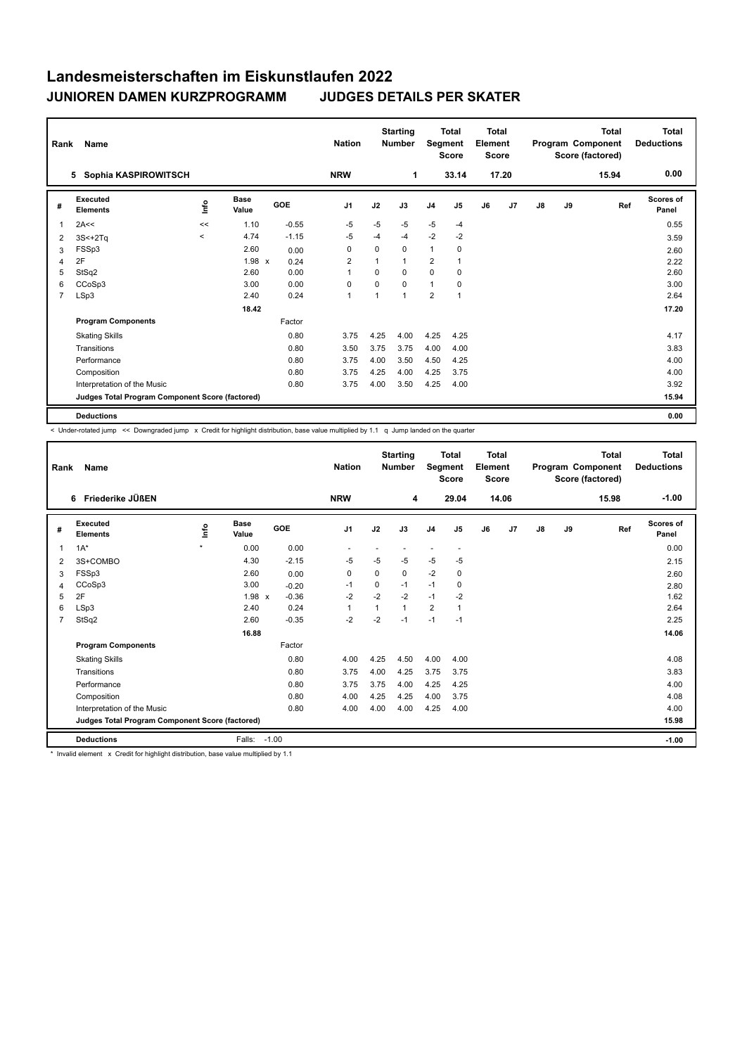| Rank         | Name                                            |           |                      |         |                |          | <b>Starting</b><br><b>Number</b> | <b>Total</b><br>Segment<br><b>Score</b> |          | <b>Total</b><br>Element<br><b>Score</b> |       | <b>Total</b><br>Program Component<br>Score (factored) |    |       | <b>Total</b><br><b>Deductions</b> |
|--------------|-------------------------------------------------|-----------|----------------------|---------|----------------|----------|----------------------------------|-----------------------------------------|----------|-----------------------------------------|-------|-------------------------------------------------------|----|-------|-----------------------------------|
|              | Sophia KASPIROWITSCH<br>5                       |           |                      |         | <b>NRW</b>     |          | 1                                |                                         | 33.14    |                                         | 17.20 |                                                       |    | 15.94 | 0.00                              |
| #            | Executed<br><b>Elements</b>                     | lnfo      | <b>Base</b><br>Value | GOE     | J <sub>1</sub> | J2       | J3                               | J <sub>4</sub>                          | J5       | J6                                      | J7    | $\mathsf{J}8$                                         | J9 | Ref   | <b>Scores of</b><br>Panel         |
| $\mathbf{1}$ | 2A<<                                            | $\,<$     | 1.10                 | $-0.55$ | $-5$           | $-5$     | $-5$                             | $-5$                                    | $-4$     |                                         |       |                                                       |    |       | 0.55                              |
| 2            | $3S<+2Tq$                                       | $\hat{~}$ | 4.74                 | $-1.15$ | -5             | -4       | $-4$                             | $-2$                                    | $-2$     |                                         |       |                                                       |    |       | 3.59                              |
| 3            | FSSp3                                           |           | 2.60                 | 0.00    | 0              | 0        | 0                                | $\mathbf{1}$                            | 0        |                                         |       |                                                       |    |       | 2.60                              |
| 4            | 2F                                              |           | 1.98 x               | 0.24    | $\overline{2}$ |          | 1                                | $\overline{2}$                          |          |                                         |       |                                                       |    |       | 2.22                              |
| 5            | StSq2                                           |           | 2.60                 | 0.00    | 1              | $\Omega$ | 0                                | $\mathbf 0$                             | 0        |                                         |       |                                                       |    |       | 2.60                              |
| 6            | CCoSp3                                          |           | 3.00                 | 0.00    | 0              | $\Omega$ | $\Omega$                         | $\mathbf{1}$                            | $\Omega$ |                                         |       |                                                       |    |       | 3.00                              |
| 7            | LSp3                                            |           | 2.40                 | 0.24    | $\mathbf{1}$   | -1       | $\mathbf{1}$                     | $\overline{2}$                          | -1       |                                         |       |                                                       |    |       | 2.64                              |
|              |                                                 |           | 18.42                |         |                |          |                                  |                                         |          |                                         |       |                                                       |    |       | 17.20                             |
|              | <b>Program Components</b>                       |           |                      | Factor  |                |          |                                  |                                         |          |                                         |       |                                                       |    |       |                                   |
|              | <b>Skating Skills</b>                           |           |                      | 0.80    | 3.75           | 4.25     | 4.00                             | 4.25                                    | 4.25     |                                         |       |                                                       |    |       | 4.17                              |
|              | Transitions                                     |           |                      | 0.80    | 3.50           | 3.75     | 3.75                             | 4.00                                    | 4.00     |                                         |       |                                                       |    |       | 3.83                              |
|              | Performance                                     |           |                      | 0.80    | 3.75           | 4.00     | 3.50                             | 4.50                                    | 4.25     |                                         |       |                                                       |    |       | 4.00                              |
|              | Composition                                     |           |                      | 0.80    | 3.75           | 4.25     | 4.00                             | 4.25                                    | 3.75     |                                         |       |                                                       |    |       | 4.00                              |
|              | Interpretation of the Music                     |           |                      | 0.80    | 3.75           | 4.00     | 3.50                             | 4.25                                    | 4.00     |                                         |       |                                                       |    |       | 3.92                              |
|              | Judges Total Program Component Score (factored) |           |                      |         |                |          |                                  |                                         |          |                                         |       |                                                       |    |       | 15.94                             |
|              | <b>Deductions</b>                               |           |                      |         |                |          |                                  |                                         |          |                                         |       |                                                       |    |       | 0.00                              |

< Under-rotated jump << Downgraded jump x Credit for highlight distribution, base value multiplied by 1.1 q Jump landed on the quarter

| Rank           | Name<br>Friederike JÜßEN<br>6                   |         |                      |            | <b>Nation</b><br><b>NRW</b> |             | <b>Starting</b><br><b>Number</b><br>4 | <b>Total</b><br>Segment<br><b>Score</b><br>29.04 |                          | <b>Total</b><br>Element<br><b>Score</b><br>14.06 |                | Program Component |    | <b>Total</b><br>Score (factored)<br>15.98 | <b>Total</b><br><b>Deductions</b><br>$-1.00$ |
|----------------|-------------------------------------------------|---------|----------------------|------------|-----------------------------|-------------|---------------------------------------|--------------------------------------------------|--------------------------|--------------------------------------------------|----------------|-------------------|----|-------------------------------------------|----------------------------------------------|
|                |                                                 |         |                      |            |                             |             |                                       |                                                  |                          |                                                  |                |                   |    |                                           |                                              |
| #              | Executed<br><b>Elements</b>                     | Info    | <b>Base</b><br>Value | <b>GOE</b> | J <sub>1</sub>              | J2          | J3                                    | J <sub>4</sub>                                   | J <sub>5</sub>           | J6                                               | J <sub>7</sub> | J8                | J9 | Ref                                       | <b>Scores of</b><br>Panel                    |
| $\mathbf{1}$   | $1A^*$                                          | $\star$ | 0.00                 | 0.00       |                             |             |                                       |                                                  | $\overline{\phantom{a}}$ |                                                  |                |                   |    |                                           | 0.00                                         |
| $\overline{2}$ | 3S+COMBO                                        |         | 4.30                 | $-2.15$    | -5                          | $-5$        | $-5$                                  | $-5$                                             | $-5$                     |                                                  |                |                   |    |                                           | 2.15                                         |
| 3              | FSSp3                                           |         | 2.60                 | 0.00       | 0                           | 0           | 0                                     | $-2$                                             | 0                        |                                                  |                |                   |    |                                           | 2.60                                         |
| $\overline{4}$ | CCoSp3                                          |         | 3.00                 | $-0.20$    | $-1$                        | $\mathbf 0$ | $-1$                                  | $-1$                                             | $\pmb{0}$                |                                                  |                |                   |    |                                           | 2.80                                         |
| 5              | 2F                                              |         | $1.98 \times$        | $-0.36$    | $-2$                        | $-2$        | $-2$                                  | $-1$                                             | $-2$                     |                                                  |                |                   |    |                                           | 1.62                                         |
| 6              | LSp3                                            |         | 2.40                 | 0.24       | 1                           |             | $\mathbf{1}$                          | $\overline{2}$                                   |                          |                                                  |                |                   |    |                                           | 2.64                                         |
| $\overline{7}$ | StSq2                                           |         | 2.60                 | $-0.35$    | $-2$                        | $-2$        | $-1$                                  | $-1$                                             | $-1$                     |                                                  |                |                   |    |                                           | 2.25                                         |
|                |                                                 |         | 16.88                |            |                             |             |                                       |                                                  |                          |                                                  |                |                   |    |                                           | 14.06                                        |
|                | <b>Program Components</b>                       |         |                      | Factor     |                             |             |                                       |                                                  |                          |                                                  |                |                   |    |                                           |                                              |
|                | <b>Skating Skills</b>                           |         |                      | 0.80       | 4.00                        | 4.25        | 4.50                                  | 4.00                                             | 4.00                     |                                                  |                |                   |    |                                           | 4.08                                         |
|                | Transitions                                     |         |                      | 0.80       | 3.75                        | 4.00        | 4.25                                  | 3.75                                             | 3.75                     |                                                  |                |                   |    |                                           | 3.83                                         |
|                | Performance                                     |         |                      | 0.80       | 3.75                        | 3.75        | 4.00                                  | 4.25                                             | 4.25                     |                                                  |                |                   |    |                                           | 4.00                                         |
|                | Composition                                     |         |                      | 0.80       | 4.00                        | 4.25        | 4.25                                  | 4.00                                             | 3.75                     |                                                  |                |                   |    |                                           | 4.08                                         |
|                | Interpretation of the Music                     |         |                      | 0.80       | 4.00                        | 4.00        | 4.00                                  | 4.25                                             | 4.00                     |                                                  |                |                   |    |                                           | 4.00                                         |
|                | Judges Total Program Component Score (factored) |         |                      |            |                             |             |                                       |                                                  |                          |                                                  |                |                   |    |                                           | 15.98                                        |
|                | <b>Deductions</b>                               |         | Falls:               | $-1.00$    |                             |             |                                       |                                                  |                          |                                                  |                |                   |    |                                           | $-1.00$                                      |

\* Invalid element x Credit for highlight distribution, base value multiplied by 1.1